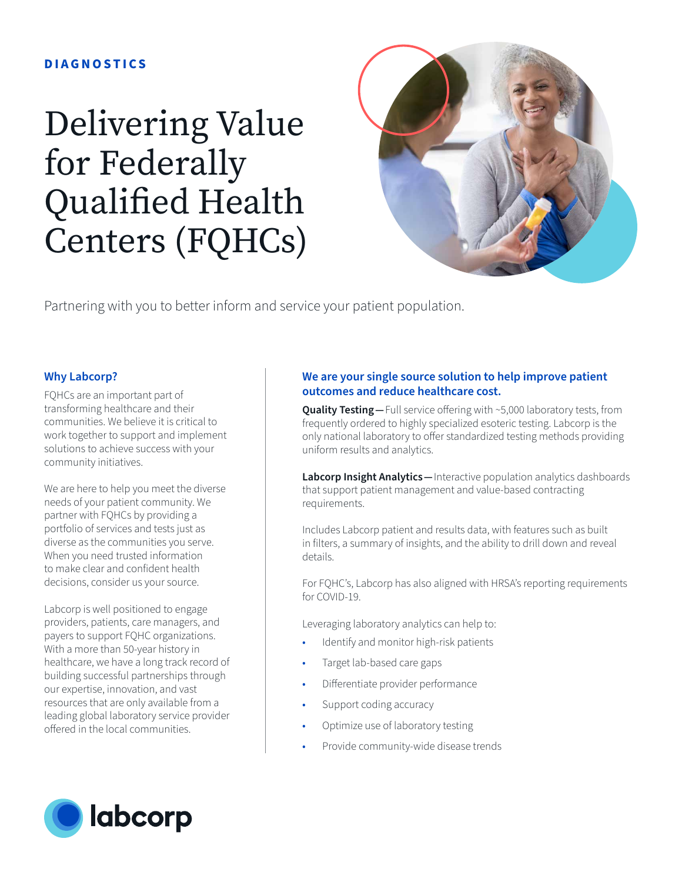## **DIAGNOSTICS**

## Delivering Value for Federally Qualified Health Centers (FQHCs)



Partnering with you to better inform and service your patient population.

## **Why Labcorp?**

FQHCs are an important part of transforming healthcare and their communities. We believe it is critical to work together to support and implement solutions to achieve success with your community initiatives.

We are here to help you meet the diverse needs of your patient community. We partner with FQHCs by providing a portfolio of services and tests just as diverse as the communities you serve. When you need trusted information to make clear and confident health decisions, consider us your source.

Labcorp is well positioned to engage providers, patients, care managers, and payers to support FQHC organizations. With a more than 50-year history in healthcare, we have a long track record of building successful partnerships through our expertise, innovation, and vast resources that are only available from a leading global laboratory service provider offered in the local communities.



## **We are your single source solution to help improve patient outcomes and reduce healthcare cost.**

**Quality Testing** - Full service offering with ~5,000 laboratory tests, from frequently ordered to highly specialized esoteric testing. Labcorp is the only national laboratory to offer standardized testing methods providing uniform results and analytics.

**Labcorp Insight Analytics —**Interactive population analytics dashboards that support patient management and value-based contracting requirements.

Includes Labcorp patient and results data, with features such as built in filters, a summary of insights, and the ability to drill down and reveal details.

For FQHC's, Labcorp has also aligned with HRSA's reporting requirements for COVID-19.

Leveraging laboratory analytics can help to:

- Identify and monitor high-risk patients
- Target lab-based care gaps
- Differentiate provider performance
- Support coding accuracy
- Optimize use of laboratory testing
- Provide community-wide disease trends